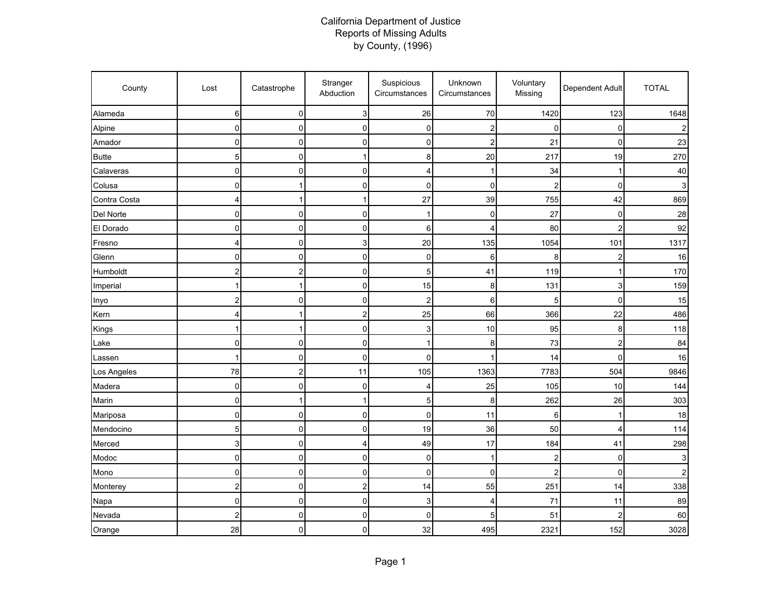## California Department of Justice Reports of Missing Adults by County, (1996)

| County       | Lost           | Catastrophe    | Stranger<br>Abduction   | Suspicious<br>Circumstances | Unknown<br>Circumstances | Voluntary<br>Missing    | Dependent Adult | <b>TOTAL</b> |
|--------------|----------------|----------------|-------------------------|-----------------------------|--------------------------|-------------------------|-----------------|--------------|
| Alameda      | 6              | 0              | 3                       | 26                          | 70                       | 1420                    | 123             | 1648         |
| Alpine       | $\pmb{0}$      | 0              | 0                       | 0                           | 2                        | $\mathbf 0$             | 0               |              |
| Amador       | $\mathbf 0$    | 0              | 0                       | 0                           | 2                        | 21                      | 0               | 23           |
| <b>Butte</b> | 5              | $\mathbf 0$    | 1                       | 8                           | 20                       | 217                     | 19              | 270          |
| Calaveras    | $\overline{0}$ | 0              | 0                       | 4                           |                          | 34                      | 1               | 40           |
| Colusa       | 0              | 1              | 0                       | 0                           | 0                        | 2                       | 0               |              |
| Contra Costa | 4              | 1              | 1                       | 27                          | 39                       | 755                     | 42              | 869          |
| Del Norte    | $\mathbf 0$    | $\mathbf 0$    | 0                       | 1                           | 0                        | 27                      | $\Omega$        | 28           |
| El Dorado    | $\pmb{0}$      | $\pmb{0}$      | 0                       | 6                           | 4                        | 80                      | $\overline{c}$  | 92           |
| Fresno       | 4              | $\pmb{0}$      | 3                       | 20                          | 135                      | 1054                    | 101             | 1317         |
| Glenn        | 0              | 0              | 0                       | 0                           | 6                        | 8                       | 2               | 16           |
| Humboldt     | 2              | $\overline{c}$ | 0                       | 5                           | 41                       | 119                     | 1               | 170          |
| Imperial     | 1              | 1              | 0                       | 15                          | 8                        | 131                     | 3               | 159          |
| Inyo         | $\overline{c}$ | $\mathbf 0$    | 0                       | $\overline{c}$              | 6                        | 5                       | $\mathbf 0$     | 15           |
| Kern         | 4              | $\mathbf{1}$   | $\overline{\mathbf{c}}$ | 25                          | 66                       | 366                     | 22              | 486          |
| Kings        |                | 1              | 0                       | 3                           | 10                       | 95                      | 8               | 118          |
| Lake         | 0              | 0              | 0                       | 1                           | 8                        | 73                      | $\overline{c}$  | 84           |
| Lassen       |                | 0              | 0                       | 0                           |                          | 14                      | $\Omega$        | 16           |
| Los Angeles  | 78             | $\overline{c}$ | 11                      | 105                         | 1363                     | 7783                    | 504             | 9846         |
| Madera       | $\mathbf 0$    | 0              | 0                       | 4                           | 25                       | 105                     | $10$            | 144          |
| Marin        | 0              | 1              | 1                       | 5                           | 8                        | 262                     | 26              | 303          |
| Mariposa     | $\pmb{0}$      | $\pmb{0}$      | 0                       | 0                           | 11                       | 6                       | 1               | 18           |
| Mendocino    | $\overline{5}$ | $\pmb{0}$      | 0                       | 19                          | 36                       | 50                      | 4               | 114          |
| Merced       | 3              | $\mathbf 0$    | 4                       | 49                          | 17                       | 184                     | 41              | 298          |
| Modoc        | 0              | 0              | 0                       | 0                           | 1                        | $\overline{\mathbf{c}}$ | $\mathbf 0$     |              |
| Mono         | 0              | $\mathbf 0$    | 0                       | 0                           | 0                        | 2                       | $\Omega$        |              |
| Monterey     | $\overline{c}$ | $\mathbf 0$    | $\overline{\mathbf{c}}$ | 14                          | 55                       | 251                     | 14              | 338          |
| Napa         | $\overline{0}$ | $\pmb{0}$      | 0                       | 3                           | 4                        | 71                      | 11              | 89           |
| Nevada       | $\overline{c}$ | $\mathbf 0$    | 0                       | 0                           | 5                        | 51                      | $\overline{2}$  | 60           |
| Orange       | 28             | 0              | 0                       | 32                          | 495                      | 2321                    | 152             | 3028         |